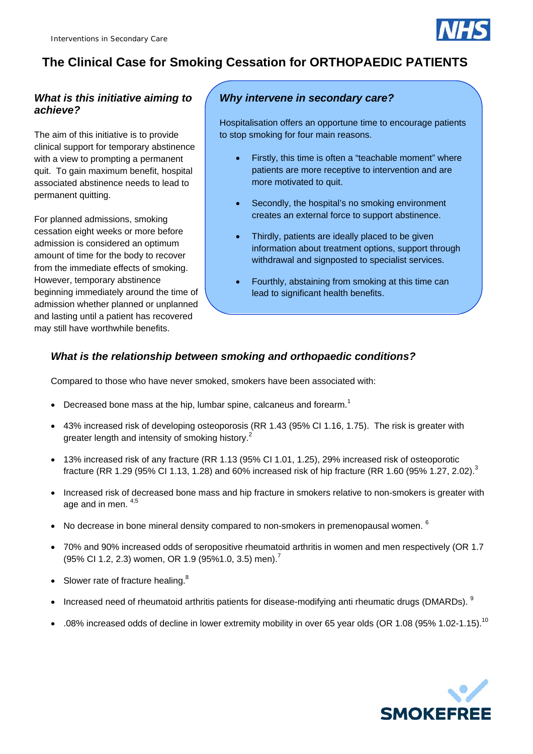

# **The Clinical Case for Smoking Cessation for ORTHOPAEDIC PATIENTS**

## *What is this initiative aiming to achieve?*

The aim of this initiative is to provide clinical support for temporary abstinence with a view to prompting a permanent quit. To gain maximum benefit, hospital associated abstinence needs to lead to permanent quitting.

For planned admissions, smoking cessation eight weeks or more before admission is considered an optimum amount of time for the body to recover from the immediate effects of smoking. However, temporary abstinence beginning immediately around the time of admission whether planned or unplanned and lasting until a patient has recovered may still have worthwhile benefits.

## *Why intervene in secondary care?*

Hospitalisation offers an opportune time to encourage patients to stop smoking for four main reasons.

- Firstly, this time is often a "teachable moment" where patients are more receptive to intervention and are more motivated to quit.
- Secondly, the hospital's no smoking environment creates an external force to support abstinence.
- Thirdly, patients are ideally placed to be given information about treatment options, support through withdrawal and signposted to specialist services.
- Fourthly, abstaining from smoking at this time can lead to significant health benefits.

## *What is the relationship between smoking and orthopaedic conditions?*

Compared to those who have never smoked, smokers have been associated with:

- Decreased bone mass at the hip, lumbar spine, calcaneus and forearm.<sup>1</sup>
- 43% increased risk of developing osteoporosis (RR 1.43 (95% CI 1.16, 1.75). The risk is greater with greater length and intensity of smoking history.<sup>2</sup>
- 13% increased risk of any fracture (RR 1.13 (95% CI 1.01, 1.25), 29% increased risk of osteoporotic fracture (RR 1.29 (95% CI 1.13, 1.28) and 60% increased risk of hip fracture (RR 1.60 (95% 1.27, 2.02).<sup>3</sup>
- Increased risk of decreased bone mass and hip fracture in smokers relative to non-smokers is greater with age and in men.  $4,5$
- No decrease in bone mineral density compared to non-smokers in premenopausal women.  $6$
- 70% and 90% increased odds of seropositive rheumatoid arthritis in women and men respectively (OR 1.7 (95% CI 1.2, 2.3) women, OR 1.9 (95%1.0, 3.5) men).<sup>7</sup>
- Slower rate of fracture healing. $8$
- Increased need of rheumatoid arthritis patients for disease-modifying anti rheumatic drugs (DMARDs). <sup>9</sup>
- .08% increased odds of decline in lower extremity mobility in over 65 year olds (OR 1.08 (95% 1.02-1.15).<sup>10</sup>

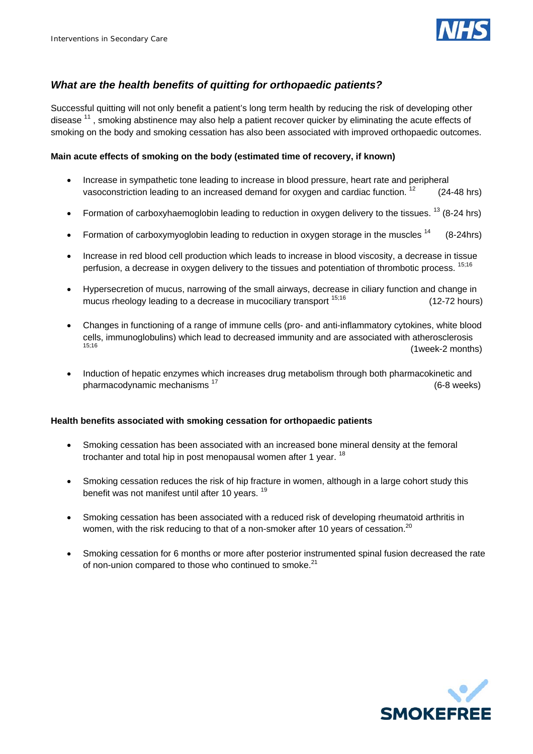

### *What are the health benefits of quitting for orthopaedic patients?*

Successful quitting will not only benefit a patient's long term health by reducing the risk of developing other disease <sup>11</sup>, smoking abstinence may also help a patient recover quicker by eliminating the acute effects of smoking on the body and smoking cessation has also been associated with improved orthopaedic outcomes.

### **Main acute effects of smoking on the body (estimated time of recovery, if known)**

- Increase in sympathetic tone leading to increase in blood pressure, heart rate and peripheral vasoconstriction leading to an increased demand for oxygen and cardiac function.  $12$  (24-48 hrs)
- Formation of carboxyhaemoglobin leading to reduction in oxygen delivery to the tissues.  $^{13}$  (8-24 hrs)
- Formation of carboxymyoglobin leading to reduction in oxygen storage in the muscles  $14$  (8-24hrs)
- Increase in red blood cell production which leads to increase in blood viscosity, a decrease in tissue perfusion, a decrease in oxygen delivery to the tissues and potentiation of thrombotic process. <sup>15;16</sup>
- Hypersecretion of mucus, narrowing of the small airways, decrease in ciliary function and change in mucus rheology leading to a decrease in mucociliary transport  $15,16$  (12-72 hours)
- Changes in functioning of a range of immune cells (pro- and anti-inflammatory cytokines, white blood cells, immunoglobulins) which lead to decreased immunity and are associated with atherosclerosis<br>15:16<br>(Awash Omaath  $(1$ week-2 months)
- Induction of hepatic enzymes which increases drug metabolism through both pharmacokinetic and pharmacodynamic mechanisms <sup>17</sup> (6-8 weeks)

### **Health benefits associated with smoking cessation for orthopaedic patients**

- Smoking cessation has been associated with an increased bone mineral density at the femoral trochanter and total hip in post menopausal women after 1 year. <sup>18</sup>
- Smoking cessation reduces the risk of hip fracture in women, although in a large cohort study this benefit was not manifest until after 10 years.<sup>19</sup>
- Smoking cessation has been associated with a reduced risk of developing rheumatoid arthritis in women, with the risk reducing to that of a non-smoker after 10 years of cessation.<sup>20</sup>
- Smoking cessation for 6 months or more after posterior instrumented spinal fusion decreased the rate of non-union compared to those who continued to smoke.<sup>21</sup>

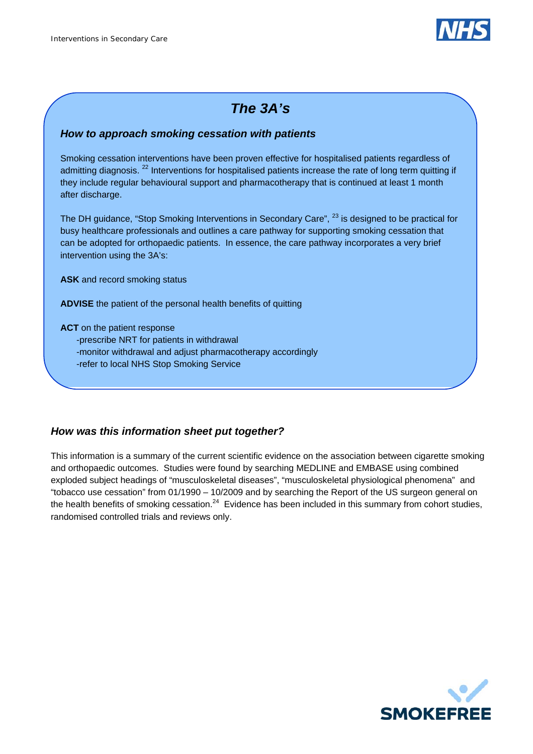

# *The 3A's*

## *How to approach smoking cessation with patients*

Smoking cessation interventions have been proven effective for hospitalised patients regardless of admitting diagnosis.<sup>22</sup> Interventions for hospitalised patients increase the rate of long term quitting if they include regular behavioural support and pharmacotherapy that is continued at least 1 month after discharge.

The DH guidance, "Stop Smoking Interventions in Secondary Care", <sup>23</sup> is designed to be practical for busy healthcare professionals and outlines a care pathway for supporting smoking cessation that can be adopted for orthopaedic patients. In essence, the care pathway incorporates a very brief intervention using the 3A's:

**ASK** and record smoking status

**ADVISE** the patient of the personal health benefits of quitting

**ACT** on the patient response

- -prescribe NRT for patients in withdrawal
- -monitor withdrawal and adjust pharmacotherapy accordingly
- -refer to local NHS Stop Smoking Service

## *How was this information sheet put together?*

This information is a summary of the current scientific evidence on the association between cigarette smoking and orthopaedic outcomes. Studies were found by searching MEDLINE and EMBASE using combined exploded subject headings of "musculoskeletal diseases", "musculoskeletal physiological phenomena" and "tobacco use cessation" from 01/1990 – 10/2009 and by searching the Report of the US surgeon general on the health benefits of smoking cessation. $^{24}$  Evidence has been included in this summary from cohort studies, randomised controlled trials and reviews only.

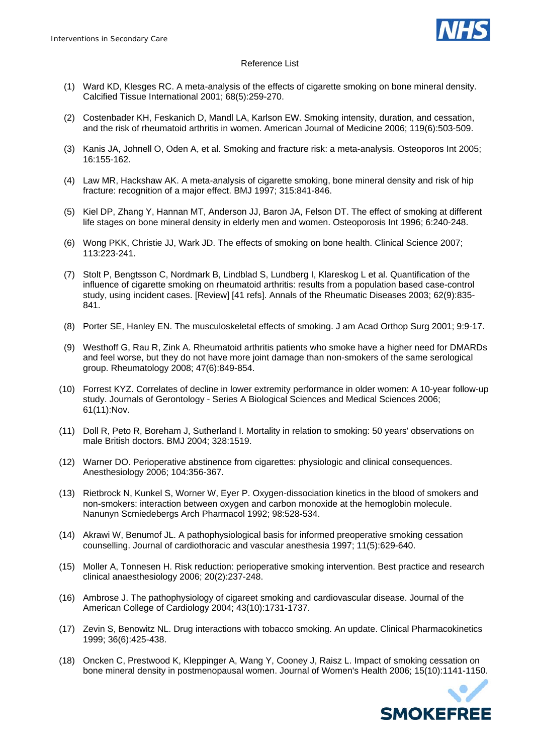

#### Reference List

- (1) Ward KD, Klesges RC. A meta-analysis of the effects of cigarette smoking on bone mineral density. Calcified Tissue International 2001; 68(5):259-270.
- (2) Costenbader KH, Feskanich D, Mandl LA, Karlson EW. Smoking intensity, duration, and cessation, and the risk of rheumatoid arthritis in women. American Journal of Medicine 2006; 119(6):503-509.
- (3) Kanis JA, Johnell O, Oden A, et al. Smoking and fracture risk: a meta-analysis. Osteoporos Int 2005; 16:155-162.
- (4) Law MR, Hackshaw AK. A meta-analysis of cigarette smoking, bone mineral density and risk of hip fracture: recognition of a major effect. BMJ 1997; 315:841-846.
- (5) Kiel DP, Zhang Y, Hannan MT, Anderson JJ, Baron JA, Felson DT. The effect of smoking at different life stages on bone mineral density in elderly men and women. Osteoporosis Int 1996; 6:240-248.
- (6) Wong PKK, Christie JJ, Wark JD. The effects of smoking on bone health. Clinical Science 2007; 113:223-241.
- (7) Stolt P, Bengtsson C, Nordmark B, Lindblad S, Lundberg I, Klareskog L et al. Quantification of the influence of cigarette smoking on rheumatoid arthritis: results from a population based case-control study, using incident cases. [Review] [41 refs]. Annals of the Rheumatic Diseases 2003; 62(9):835- 841.
- (8) Porter SE, Hanley EN. The musculoskeletal effects of smoking. J am Acad Orthop Surg 2001; 9:9-17.
- (9) Westhoff G, Rau R, Zink A. Rheumatoid arthritis patients who smoke have a higher need for DMARDs and feel worse, but they do not have more joint damage than non-smokers of the same serological group. Rheumatology 2008; 47(6):849-854.
- (10) Forrest KYZ. Correlates of decline in lower extremity performance in older women: A 10-year follow-up study. Journals of Gerontology - Series A Biological Sciences and Medical Sciences 2006; 61(11):Nov.
- (11) Doll R, Peto R, Boreham J, Sutherland I. Mortality in relation to smoking: 50 years' observations on male British doctors. BMJ 2004; 328:1519.
- (12) Warner DO. Perioperative abstinence from cigarettes: physiologic and clinical consequences. Anesthesiology 2006; 104:356-367.
- (13) Rietbrock N, Kunkel S, Worner W, Eyer P. Oxygen-dissociation kinetics in the blood of smokers and non-smokers: interaction between oxygen and carbon monoxide at the hemoglobin molecule. Nanunyn Scmiedebergs Arch Pharmacol 1992; 98:528-534.
- (14) Akrawi W, Benumof JL. A pathophysiological basis for informed preoperative smoking cessation counselling. Journal of cardiothoracic and vascular anesthesia 1997; 11(5):629-640.
- (15) Moller A, Tonnesen H. Risk reduction: perioperative smoking intervention. Best practice and research clinical anaesthesiology 2006; 20(2):237-248.
- (16) Ambrose J. The pathophysiology of cigareet smoking and cardiovascular disease. Journal of the American College of Cardiology 2004; 43(10):1731-1737.
- (17) Zevin S, Benowitz NL. Drug interactions with tobacco smoking. An update. Clinical Pharmacokinetics 1999; 36(6):425-438.
- (18) Oncken C, Prestwood K, Kleppinger A, Wang Y, Cooney J, Raisz L. Impact of smoking cessation on bone mineral density in postmenopausal women. Journal of Women's Health 2006; 15(10):1141-1150.